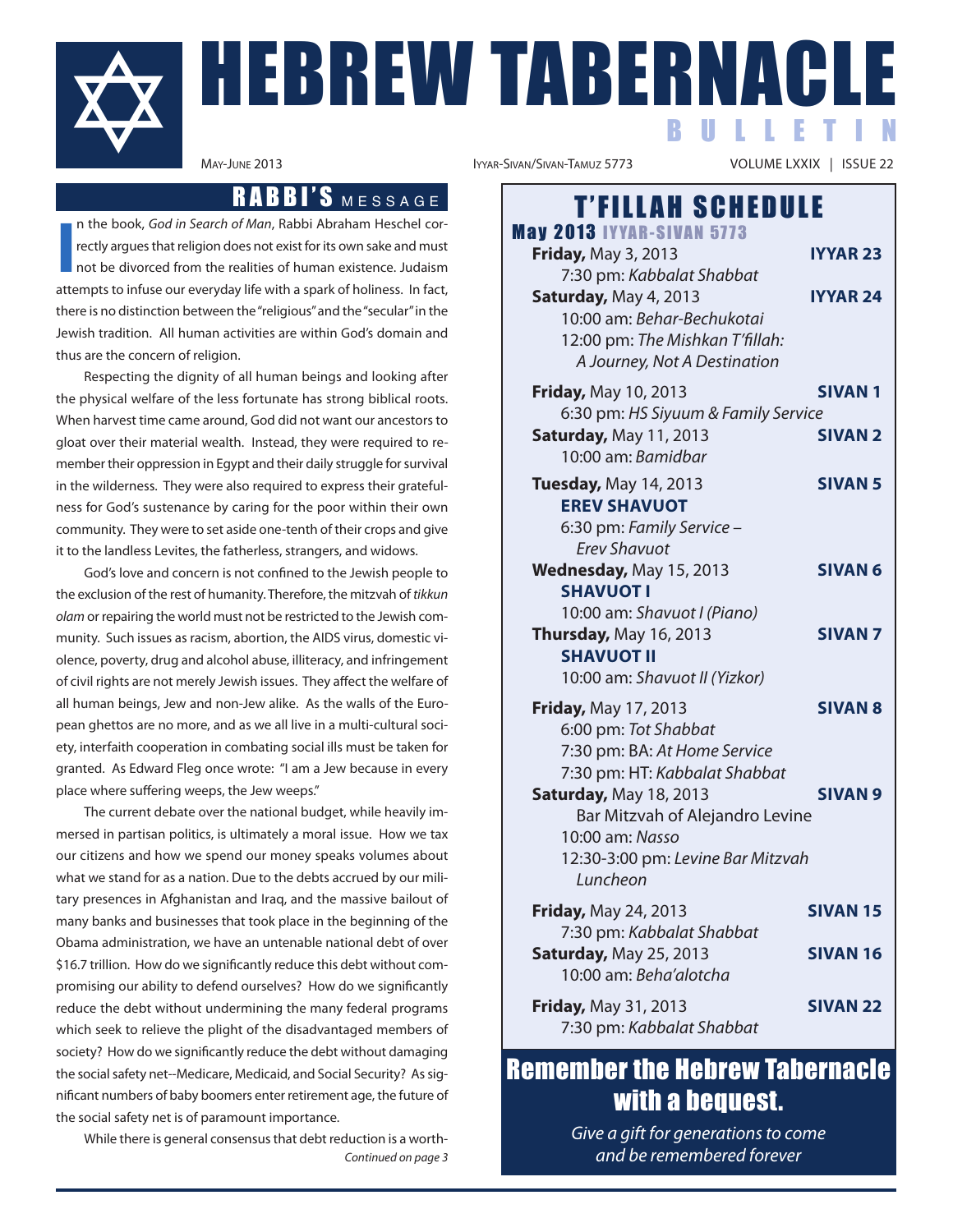

# HEBREW TABERNAC B U L L E T I N

## RABBI'S MESSAGE

**I** n the book, God in Search of Man, Rabbi Abraham Heschel correctly argues that religion does not exist for its own sake and must not be divorced from the realities of human existence. Judaism attempts to infuse our everyday life with a spark of holiness. In fact, there is no distinction between the"religious"and the"secular"in the Jewish tradition. All human activities are within God's domain and thus are the concern of religion.

Respecting the dignity of all human beings and looking after the physical welfare of the less fortunate has strong biblical roots. When harvest time came around, God did not want our ancestors to gloat over their material wealth. Instead, they were required to remember their oppression in Egypt and their daily struggle for survival in the wilderness. They were also required to express their gratefulness for God's sustenance by caring for the poor within their own community. They were to set aside one-tenth of their crops and give it to the landless Levites, the fatherless, strangers, and widows.

God's love and concern is not confined to the Jewish people to the exclusion of the rest of humanity. Therefore, the mitzvah of tikkun olam or repairing the world must not be restricted to the Jewish community. Such issues as racism, abortion, the AIDS virus, domestic violence, poverty, drug and alcohol abuse, illiteracy, and infringement of civil rights are not merely Jewish issues. They affect the welfare of all human beings, Jew and non-Jew alike. As the walls of the European ghettos are no more, and as we all live in a multi-cultural society, interfaith cooperation in combating social ills must be taken for granted. As Edward Fleg once wrote: "I am a Jew because in every place where suffering weeps, the Jew weeps."

The current debate over the national budget, while heavily immersed in partisan politics, is ultimately a moral issue. How we tax our citizens and how we spend our money speaks volumes about what we stand for as a nation. Due to the debts accrued by our military presences in Afghanistan and Iraq, and the massive bailout of many banks and businesses that took place in the beginning of the Obama administration, we have an untenable national debt of over \$16.7 trillion. How do we significantly reduce this debt without compromising our ability to defend ourselves? How do we significantly reduce the debt without undermining the many federal programs which seek to relieve the plight of the disadvantaged members of society? How do we significantly reduce the debt without damaging the social safety net--Medicare, Medicaid, and Social Security? As significant numbers of baby boomers enter retirement age, the future of the social safety net is of paramount importance.

While there is general consensus that debt reduction is a worth-Continued on page 3

VOLUME LXXIX | ISSUE 22

| <b>T'FILLAH SCHEDULE</b>                                                                                                                                                                                              |                                    |
|-----------------------------------------------------------------------------------------------------------------------------------------------------------------------------------------------------------------------|------------------------------------|
| <b>May 2013 IYYAR-SIVAN 5773</b><br><b>Friday, May 3, 2013</b><br>7:30 pm: Kabbalat Shabbat<br>Saturday, May 4, 2013<br>10:00 am: Behar-Bechukotai<br>12:00 pm: The Mishkan T'fillah:<br>A Journey, Not A Destination | <b>IYYAR 23</b><br><b>IYYAR 24</b> |
| Friday, May 10, 2013<br>6:30 pm: HS Siyuum & Family Service<br><b>Saturday, May 11, 2013</b><br>10:00 am: Bamidbar                                                                                                    | <b>SIVAN1</b><br><b>SIVAN 2</b>    |
| Tuesday, May 14, 2013<br><b>EREV SHAVUOT</b><br>6:30 pm: Family Service -<br><b>Erev Shavuot</b>                                                                                                                      | <b>SIVAN 5</b>                     |
| Wednesday, May 15, 2013<br><b>SHAVUOT I</b><br>10:00 am: Shavuot I (Piano)                                                                                                                                            | <b>SIVAN 6</b>                     |
| Thursday, May 16, 2013<br><b>SHAVUOT II</b><br>10:00 am: Shavuot II (Yizkor)                                                                                                                                          | <b>SIVAN7</b>                      |
| <b>Friday, May 17, 2013</b><br>6:00 pm: Tot Shabbat<br>7:30 pm: BA: At Home Service<br>7:30 pm: HT: Kabbalat Shabbat<br>Saturday, May 18, 2013<br>Bar Mitzvah of Alejandro Levine<br>10:00 am: Nasso                  | <b>SIVAN 8</b><br><b>SIVAN 9</b>   |
| 12:30-3:00 pm: Levine Bar Mitzvah<br>Luncheon<br><b>Friday, May 24, 2013</b>                                                                                                                                          | <b>SIVAN 15</b>                    |
| 7:30 pm: Kabbalat Shabbat<br><b>Saturday, May 25, 2013</b><br>10:00 am: Beha'alotcha                                                                                                                                  | <b>SIVAN 16</b>                    |
| <b>Friday, May 31, 2013</b><br>7:30 pm: Kabbalat Shabbat                                                                                                                                                              | <b>SIVAN 22</b>                    |

## Remember the Hebrew Tabernacle with a bequest.

Give a gift for generations to come and be remembered forever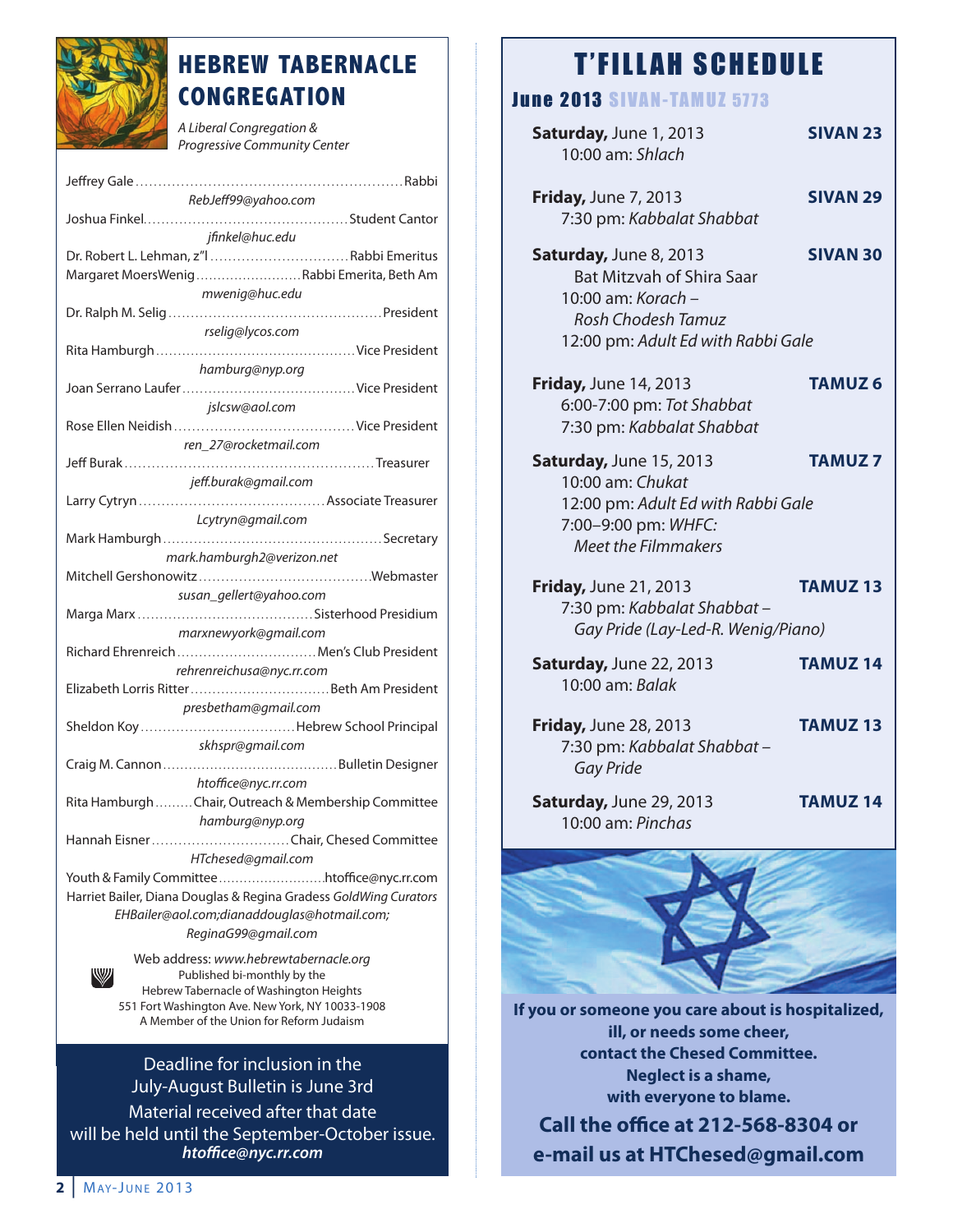

## **HEBREW TABERNACLE CONGREGATION**

A Liberal Congregation & Progressive Community Center

| RebJeff99@yahoo.com                                              |
|------------------------------------------------------------------|
|                                                                  |
| jfinkel@huc.edu                                                  |
| Dr. Robert L. Lehman, z"l Rabbi Emeritus                         |
| Margaret MoersWenigRabbi Emerita, Beth Am                        |
|                                                                  |
| mwenig@huc.edu                                                   |
|                                                                  |
| rselig@lycos.com                                                 |
|                                                                  |
| hamburg@nyp.org                                                  |
|                                                                  |
| jslcsw@aol.com                                                   |
|                                                                  |
|                                                                  |
| ren_27@rocketmail.com                                            |
|                                                                  |
| jeff.burak@gmail.com                                             |
|                                                                  |
| Lcytryn@gmail.com                                                |
|                                                                  |
| mark.hamburgh2@verizon.net                                       |
|                                                                  |
|                                                                  |
| susan_gellert@yahoo.com                                          |
|                                                                  |
| marxnewyork@gmail.com                                            |
| Richard Ehrenreich  Men's Club President                         |
| rehrenreichusa@nyc.rr.com                                        |
|                                                                  |
| presbetham@gmail.com                                             |
| Sheldon KoyHebrew School Principal                               |
|                                                                  |
| skhspr@gmail.com                                                 |
|                                                                  |
| htoffice@nyc.rr.com                                              |
| Rita Hamburgh Chair, Outreach & Membership Committee             |
| hamburg@nyp.org                                                  |
| Hannah Eisner Chair, Chesed Committee                            |
| HTchesed@gmail.com                                               |
|                                                                  |
|                                                                  |
| Harriet Bailer, Diana Douglas & Regina Gradess GoldWing Curators |
| EHBailer@aol.com;dianaddouglas@hotmail.com;                      |
| ReginaG99@gmail.com                                              |
| Web address: www.hebrewtabernacle.org                            |
| W<br>Published bi-monthly by the                                 |

Published bi-monthly by the Hebrew Tabernacle of Washington Heights 551 Fort Washington Ave. New York, NY 10033-1908 A Member of the Union for Reform Judaism

Deadline for inclusion in the July-August Bulletin is June 3rd Material received after that date will be held until the September-October issue. *htoce@nyc.rr.com*

## **T'FILLAH SCHEDULE**

## **June 2013 SIVAN TAMUZ 5773**

| Saturday, June 1, 2013<br>10:00 am: Shlach                                                                                                          | <b>SIVAN 23</b> |
|-----------------------------------------------------------------------------------------------------------------------------------------------------|-----------------|
| <b>Friday, June 7, 2013</b><br>7:30 pm: Kabbalat Shabbat                                                                                            | <b>SIVAN 29</b> |
| Saturday, June 8, 2013<br><b>Bat Mitzvah of Shira Saar</b><br>10:00 am: Korach -<br><b>Rosh Chodesh Tamuz</b><br>12:00 pm: Adult Ed with Rabbi Gale | <b>SIVAN 30</b> |
| <b>Friday, June 14, 2013</b><br>6:00-7:00 pm: Tot Shabbat<br>7:30 pm: Kabbalat Shabbat                                                              | <b>TAMUZ6</b>   |
| Saturday, June 15, 2013<br>10:00 am: Chukat<br>12:00 pm: Adult Ed with Rabbi Gale<br>7:00-9:00 pm: WHFC:<br><b>Meet the Filmmakers</b>              | <b>TAMUZ7</b>   |
| <b>Friday, June 21, 2013</b><br>7:30 pm: Kabbalat Shabbat -<br>Gay Pride (Lay-Led-R. Wenig/Piano)                                                   | <b>TAMUZ13</b>  |
| Saturday, June 22, 2013<br>10:00 am: Balak                                                                                                          | <b>TAMUZ14</b>  |
| Friday, June 28, 2013<br>7:30 pm: Kabbalat Shabbat -<br><b>Gay Pride</b>                                                                            | <b>TAMUZ13</b>  |
| Saturday, June 29, 2013<br>10:00 am: Pinchas                                                                                                        | <b>TAMUZ14</b>  |
|                                                                                                                                                     |                 |
|                                                                                                                                                     |                 |

**If you or someone you care about is hospitalized, ill, or needs some cheer, contact the Chesed Committee. Neglect is a shame, with everyone to blame.**

**Call the office at 212-568-8304 or e-mail us at HTChesed@gmail.com**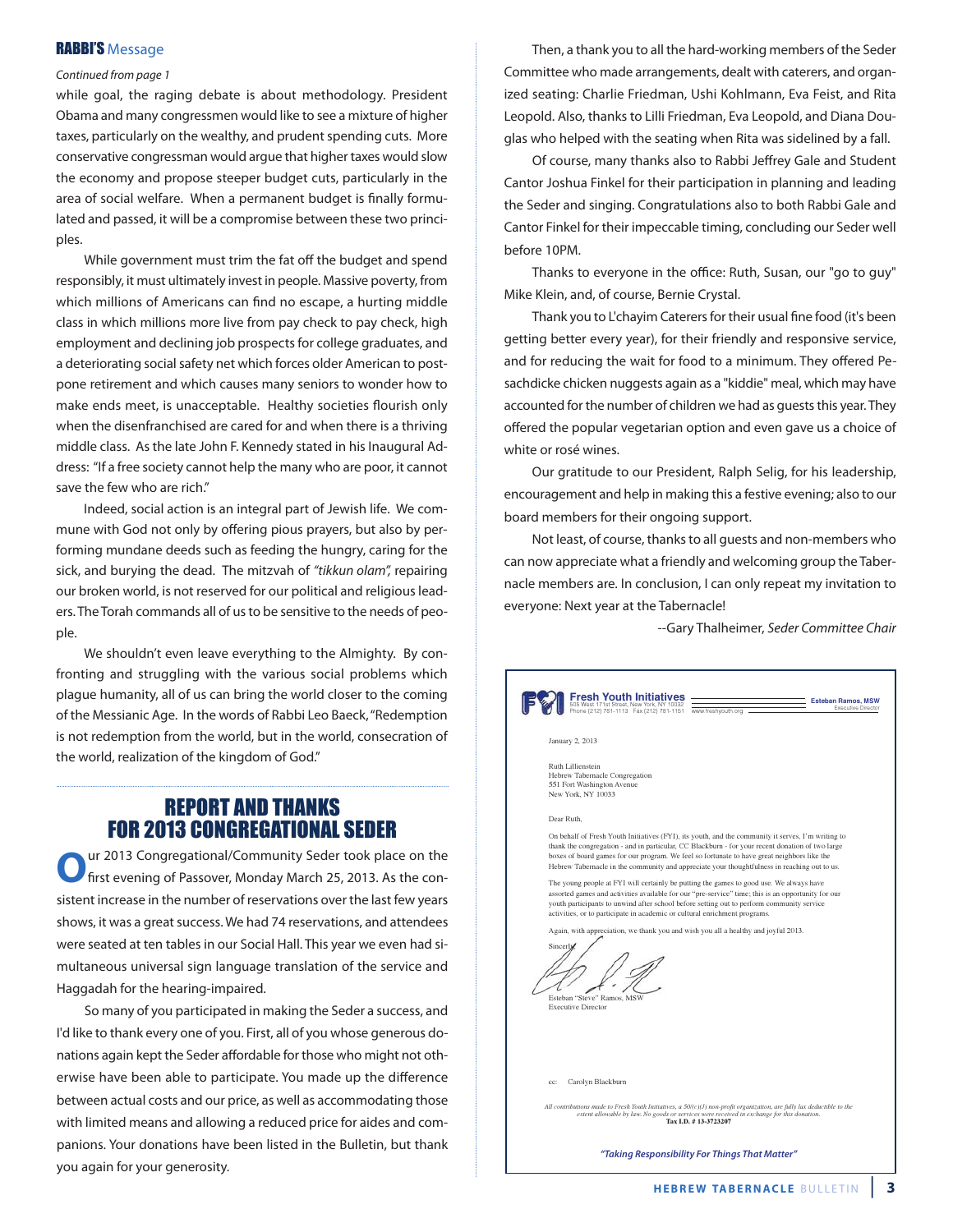#### RABBI'S Message

#### Continued from page 1

while goal, the raging debate is about methodology. President Obama and many congressmen would like to see a mixture of higher taxes, particularly on the wealthy, and prudent spending cuts. More conservative congressman would argue that higher taxes would slow the economy and propose steeper budget cuts, particularly in the area of social welfare. When a permanent budget is finally formulated and passed, it will be a compromise between these two principles.

While government must trim the fat off the budget and spend responsibly, it must ultimately invest in people. Massive poverty, from which millions of Americans can find no escape, a hurting middle class in which millions more live from pay check to pay check, high employment and declining job prospects for college graduates, and a deteriorating social safety net which forces older American to postpone retirement and which causes many seniors to wonder how to make ends meet, is unacceptable. Healthy societies flourish only when the disenfranchised are cared for and when there is a thriving middle class. As the late John F. Kennedy stated in his Inaugural Address: "If a free society cannot help the many who are poor, it cannot save the few who are rich."

Indeed, social action is an integral part of Jewish life. We commune with God not only by offering pious prayers, but also by performing mundane deeds such as feeding the hungry, caring for the sick, and burying the dead. The mitzvah of "tikkun olam", repairing our broken world, is not reserved for our political and religious leaders. The Torah commands all of us to be sensitive to the needs of people.

We shouldn't even leave everything to the Almighty. By confronting and struggling with the various social problems which plague humanity, all of us can bring the world closer to the coming of the Messianic Age. In the words of Rabbi Leo Baeck,"Redemption is not redemption from the world, but in the world, consecration of the world, realization of the kingdom of God."

#### REPORT AND THANKS FOR 2013 CONGREGATIONAL SEDER

**O**ur 2013 Congregational/Community Seder took place on the first evening of Passover, Monday March 25, 2013. As the consistent increase in the number of reservations over the last few years shows, it was a great success. We had 74 reservations, and attendees were seated at ten tables in our Social Hall. This year we even had simultaneous universal sign language translation of the service and Haggadah for the hearing-impaired.

So many of you participated in making the Seder a success, and I'd like to thank every one of you. First, all of you whose generous donations again kept the Seder affordable for those who might not otherwise have been able to participate. You made up the difference between actual costs and our price, as well as accommodating those with limited means and allowing a reduced price for aides and companions. Your donations have been listed in the Bulletin, but thank you again for your generosity.

Then, a thank you to all the hard-working members of the Seder Committee who made arrangements, dealt with caterers, and organized seating: Charlie Friedman, Ushi Kohlmann, Eva Feist, and Rita Leopold. Also, thanks to Lilli Friedman, Eva Leopold, and Diana Douglas who helped with the seating when Rita was sidelined by a fall.

Of course, many thanks also to Rabbi Jeffrey Gale and Student Cantor Joshua Finkel for their participation in planning and leading the Seder and singing. Congratulations also to both Rabbi Gale and Cantor Finkel for their impeccable timing, concluding our Seder well before 10PM.

Thanks to everyone in the office: Ruth, Susan, our "go to guy" Mike Klein, and, of course, Bernie Crystal.

Thank you to L'chayim Caterers for their usual fine food (it's been getting better every year), for their friendly and responsive service, and for reducing the wait for food to a minimum. They offered Pesachdicke chicken nuggests again as a "kiddie" meal, which may have accounted for the number of children we had as guests this year. They offered the popular vegetarian option and even gave us a choice of white or rosé wines.

Our gratitude to our President, Ralph Selig, for his leadership, encouragement and help in making this a festive evening; also to our board members for their ongoing support.

Not least, of course, thanks to all guests and non-members who can now appreciate what a friendly and welcoming group the Tabernacle members are. In conclusion, I can only repeat my invitation to everyone: Next year at the Tabernacle!

--Gary Thalheimer, Seder Committee Chair

| esh Youth Initiatives<br><b>Esteban Ramos, MSW</b><br>st 171st Street, New York, NY 10032<br>Executive Director<br>Phone (212) 781-1113 Fax (212) 781-1151<br>www.freshyouth.org                                                                                                                                                                                                                      |  |  |  |  |  |
|-------------------------------------------------------------------------------------------------------------------------------------------------------------------------------------------------------------------------------------------------------------------------------------------------------------------------------------------------------------------------------------------------------|--|--|--|--|--|
| January 2, 2013                                                                                                                                                                                                                                                                                                                                                                                       |  |  |  |  |  |
| Ruth Lillienstein<br>Hebrew Tabernacle Congregation<br>551 Fort Washington Avenue<br>New York, NY 10033                                                                                                                                                                                                                                                                                               |  |  |  |  |  |
| Dear Ruth.                                                                                                                                                                                                                                                                                                                                                                                            |  |  |  |  |  |
| On behalf of Fresh Youth Initiatives (FYI), its youth, and the community it serves, I'm writing to<br>thank the congregation - and in particular, CC Blackburn - for your recent donation of two large<br>boxes of board games for our program. We feel so fortunate to have great neighbors like the<br>Hebrew Tabernacle in the community and appreciate your thoughtfulness in reaching out to us. |  |  |  |  |  |
| The young people at FYI will certainly be putting the games to good use. We always have<br>assorted games and activities available for our "pre-service" time; this is an opportunity for our<br>youth participants to unwind after school before setting out to perform community service<br>activities, or to participate in academic or cultural enrichment programs.                              |  |  |  |  |  |
| Again, with appreciation, we thank you and wish you all a healthy and joyful 2013.<br>Sincerly<br>Esteban "Steve" Ramos, MSW<br><b>Executive Director</b>                                                                                                                                                                                                                                             |  |  |  |  |  |
| Carolyn Blackburn<br>cc:                                                                                                                                                                                                                                                                                                                                                                              |  |  |  |  |  |
| All contributions made to Fresh Youth Initiatives, a 50/(c)(J) non-profit organization, are fully lax deductible to the<br>extent allowable by law. No goods or services were received in exchange for this donation.<br>Tax I.D. #13-3723207                                                                                                                                                         |  |  |  |  |  |
| "Taking Responsibility For Things That Matter"                                                                                                                                                                                                                                                                                                                                                        |  |  |  |  |  |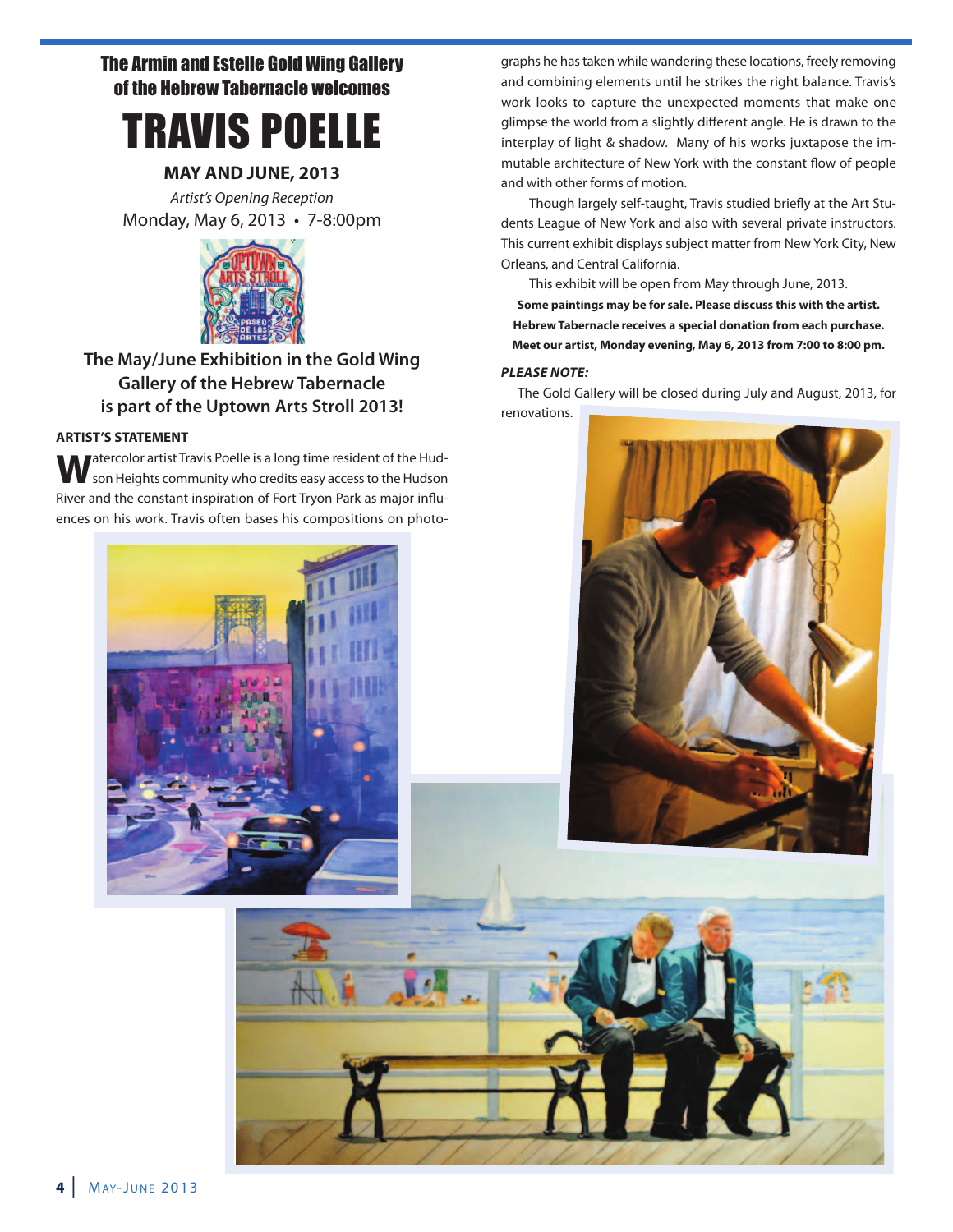## The Armin and Estelle Gold Wing Gallery of the Hebrew Tabernacle welcomes



#### **MAY AND JUNE, 2013**

Artist's Opening Reception Monday, May 6, 2013 • 7-8:00pm



### **The May/June Exhibition in the Gold Wing Gallery of the Hebrew Tabernacle is part of the Uptown Arts Stroll 2013!**

#### **ARTIST'S STATEMENT**

**W**atercolor artist Travis Poelle is a long time resident of the Hud-<br>Son Heights community who credits easy access to the Hudson River and the constant inspiration of Fort Tryon Park as major influences on his work. Travis often bases his compositions on photo-



Though largely self-taught, Travis studied briefly at the Art Students League of New York and also with several private instructors. This current exhibit displays subject matter from New York City, New Orleans, and Central California.

This exhibit will be open from May through June, 2013. **Some paintings may be for sale. Please discuss this with the artist. Hebrew Tabernacle receives a special donation from each purchase. Meet our artist, Monday evening, May 6, 2013 from 7:00 to 8:00 pm.**

#### *PLEASE NOTE:*

The Gold Gallery will be closed during July and August, 2013, for renovations.



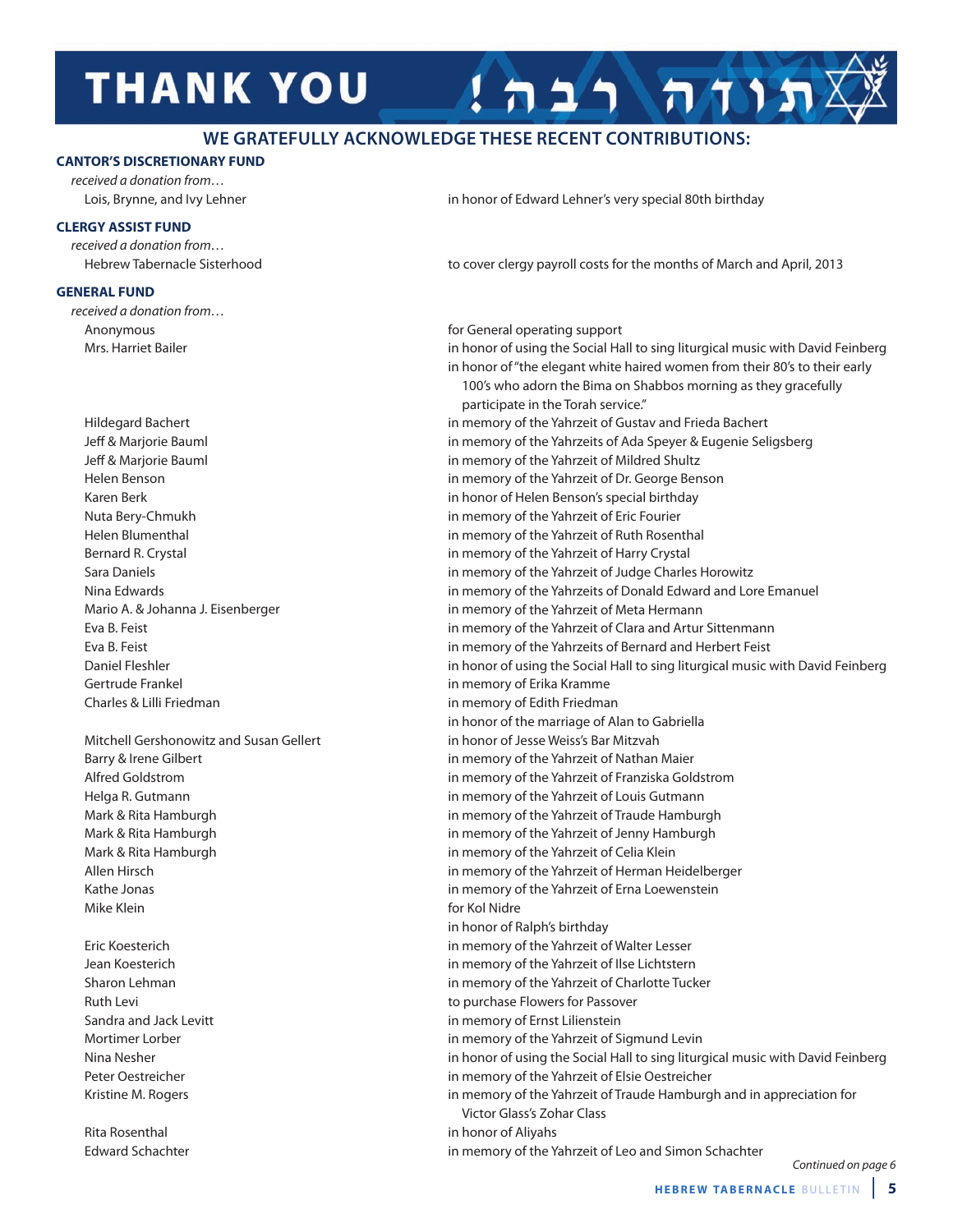## **THANK YOU**

#### **WE GRATEFULLY ACKNOWLEDGE THESE RECENT CONTRIBUTIONS:**

#### **CANTOR'S DISCRETIONARY FUND**

received a donation from…

#### **CLERGY ASSIST FUND**

received a donation from…

#### **GENERAL FUND**

received a donation from…

Gertrude Frankel in memory of Erika Kramme Charles & Lilli Friedman in memory of Edith Friedman

Mike Klein **for Kol Nidre for Kol Nidre** 

Lois, Brynne, and Ivy Lehner in honor of Edward Lehner's very special 80th birthday

Hebrew Tabernacle Sisterhood to cover clergy payroll costs for the months of March and April, 2013

תוחה רבה

Anonymous for General operating support

Mrs. Harriet Bailer in honor of using the Social Hall to sing liturgical music with David Feinberg in honor of "the elegant white haired women from their 80's to their early 100's who adorn the Bima on Shabbos morning as they gracefully participate in the Torah service." Hildegard Bachert in memory of the Yahrzeit of Gustav and Frieda Bachert Jeff & Marjorie Bauml in memory of the Yahrzeits of Ada Speyer & Eugenie Seligsberg Jeff & Marjorie Bauml in memory of the Yahrzeit of Mildred Shultz Helen Benson in memory of the Yahrzeit of Dr. George Benson Karen Berk in honor of Helen Benson's special birthday Nuta Bery-Chmukh in memory of the Yahrzeit of Eric Fourier Helen Blumenthal in memory of the Yahrzeit of Ruth Rosenthal Bernard R. Crystal in memory of the Yahrzeit of Harry Crystal Sara Daniels in memory of the Yahrzeit of Judge Charles Horowitz Nina Edwards in memory of the Yahrzeits of Donald Edward and Lore Emanuel Mario A. & Johanna J. Eisenberger in memory of the Yahrzeit of Meta Hermann Eva B. Feist in memory of the Yahrzeit of Clara and Artur Sittenmann Eva B. Feist in memory of the Yahrzeits of Bernard and Herbert Feist Daniel Fleshler in honor of using the Social Hall to sing liturgical music with David Feinberg in honor of the marriage of Alan to Gabriella Mitchell Gershonowitz and Susan Gellert in honor of Jesse Weiss's Bar Mitzvah Barry & Irene Gilbert in memory of the Yahrzeit of Nathan Maier Alfred Goldstrom in memory of the Yahrzeit of Franziska Goldstrom Helga R. Gutmann in memory of the Yahrzeit of Louis Gutmann Mark & Rita Hamburgh in memory of the Yahrzeit of Traude Hamburgh Mark & Rita Hamburgh in memory of the Yahrzeit of Jenny Hamburgh Mark & Rita Hamburgh in memory of the Yahrzeit of Celia Klein Allen Hirsch in memory of the Yahrzeit of Herman Heidelberger Kathe Jonas in memory of the Yahrzeit of Erna Loewenstein in honor of Ralph's birthday Eric Koesterich in memory of the Yahrzeit of Walter Lesser Jean Koesterich in memory of the Yahrzeit of Ilse Lichtstern Sharon Lehman in memory of the Yahrzeit of Charlotte Tucker Ruth Levi **All Accords** Flowers for Passover and Ruth Levi and Ruth Levi and Ruth Levi and Ruth Levi and Ruth Levi and Ruth Levi and Ruth Levi and Ruth Levi and Ruth Levi and Ruth Levi and Ruth Levi and Ruth Levi and Ruth Sandra and Jack Levitt in memory of Ernst Lilienstein Mortimer Lorber in memory of the Yahrzeit of Sigmund Levin Nina Nesher in honor of using the Social Hall to sing liturgical music with David Feinberg Peter Oestreicher in memory of the Yahrzeit of Elsie Oestreicher Kristine M. Rogers in memory of the Yahrzeit of Traude Hamburgh and in appreciation for Victor Glass's Zohar Class Rita Rosenthal in honor of Aliyahs Edward Schachter in memory of the Yahrzeit of Leo and Simon Schachter

Continued on page 6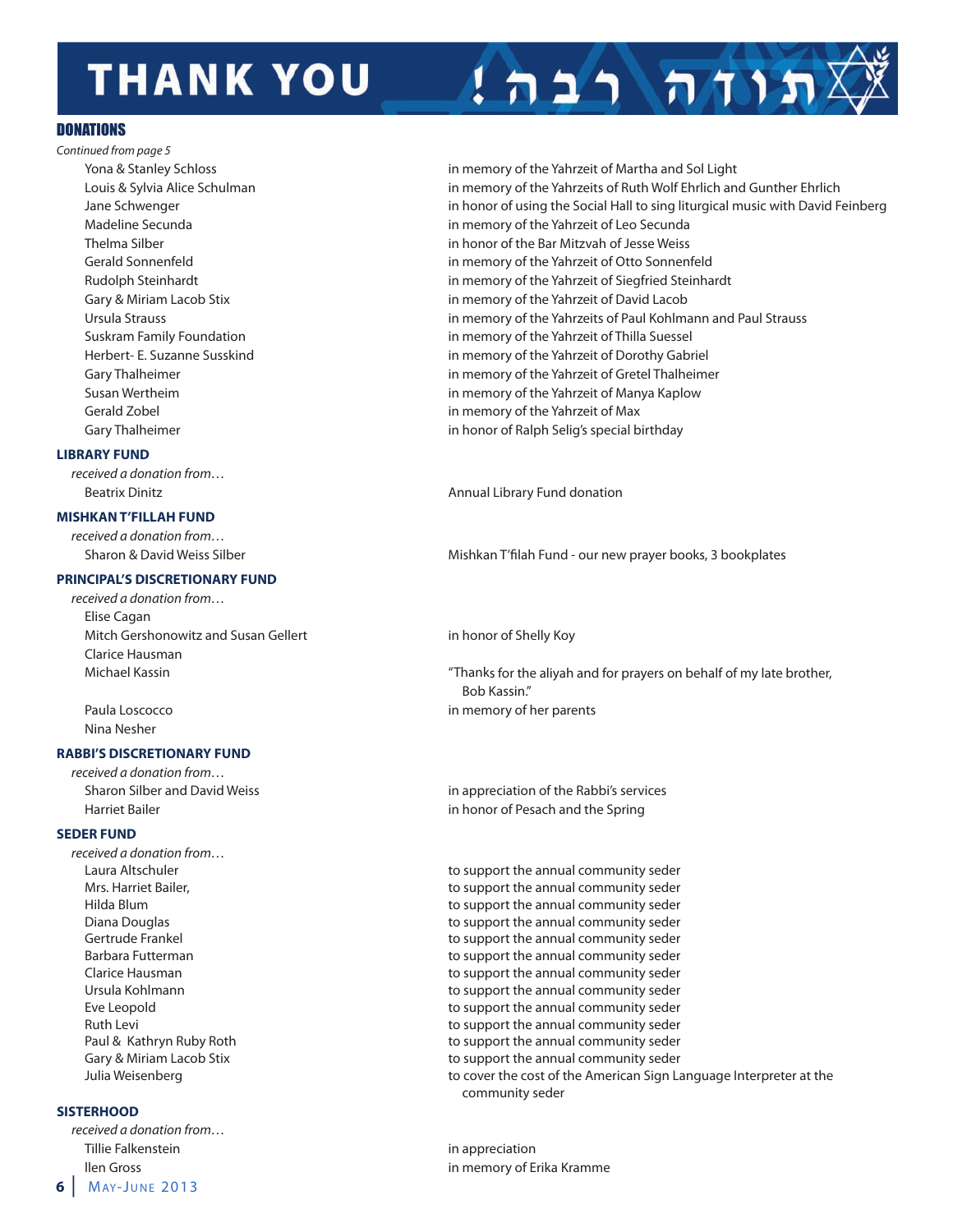## **THANK YOU**

#### **DONATIONS**

Continued from page 5

#### **LIBRARY FUND**

received a donation from…

#### **MISHKAN T'FILLAH FUND**

received a donation from…

#### **PRINCIPAL'S DISCRETIONARY FUND**

received a donation from… Elise Cagan Mitch Gershonowitz and Susan Gellert in honor of Shelly Koy Clarice Hausman

Nina Nesher

#### **RABBI'S DISCRETIONARY FUND**

received a donation from…

#### **SEDER FUND**

received a donation from…

#### **SISTERHOOD**

**6** | MAY-JUNE 2013 received a donation from… Tillie Falkenstein in appreciation

Yona & Stanley Schloss in memory of the Yahrzeit of Martha and Sol Light Louis & Sylvia Alice Schulman in memory of the Yahrzeits of Ruth Wolf Ehrlich and Gunther Ehrlich Jane Schwenger in honor of using the Social Hall to sing liturgical music with David Feinberg Madeline Secunda in memory of the Yahrzeit of Leo Secunda Thelma Silber in honor of the Bar Mitzvah of Jesse Weiss Gerald Sonnenfeld in memory of the Yahrzeit of Otto Sonnenfeld Rudolph Steinhardt in memory of the Yahrzeit of Siegfried Steinhardt Gary & Miriam Lacob Stix in memory of the Yahrzeit of David Lacob Ursula Strauss in memory of the Yahrzeits of Paul Kohlmann and Paul Strauss Suskram Family Foundation in memory of the Yahrzeit of Thilla Suessel Herbert- E. Suzanne Susskind in memory of the Yahrzeit of Dorothy Gabriel Gary Thalheimer **in memory of the Yahrzeit of Gretel Thalheimer** in memory of the Yahrzeit of Gretel Thalheimer Susan Wertheim in memory of the Yahrzeit of Manya Kaplow Gerald Zobel in memory of the Yahrzeit of Max Gary Thalheimer **in honor of Ralph Selig's special birthday** in honor of Ralph Selig's special birthday

תוחה רבה

Beatrix Dinitz Annual Library Fund donation

Sharon & David Weiss Silber Mishkan T'filah Fund - our new prayer books, 3 bookplates

Michael Kassin "Thanks for the aliyah and for prayers on behalf of my late brother, Bob Kassin." Paula Loscocco and a memory of her parents

Sharon Silber and David Weiss in appreciation of the Rabbi's services Harriet Bailer in honor of Pesach and the Spring

Laura Altschuler to support the annual community seder Mrs. Harriet Bailer, the support the annual community seder Hilda Blum to support the annual community seder Diana Douglas **the support the annual community seder** to support the annual community seder Gertrude Frankel to support the annual community seder Barbara Futterman to support the annual community seder Clarice Hausman to support the annual community seder Ursula Kohlmann to support the annual community seder Eve Leopold to support the annual community seder Ruth Levi **Accord 2012 Ruth Levi Constructs** to support the annual community seder Paul & Kathryn Ruby Roth to support the annual community seder Gary & Miriam Lacob Stix to support the annual community seder Julia Weisenberg to cover the cost of the American Sign Language Interpreter at the community seder

llen Gross in memory of Erika Kramme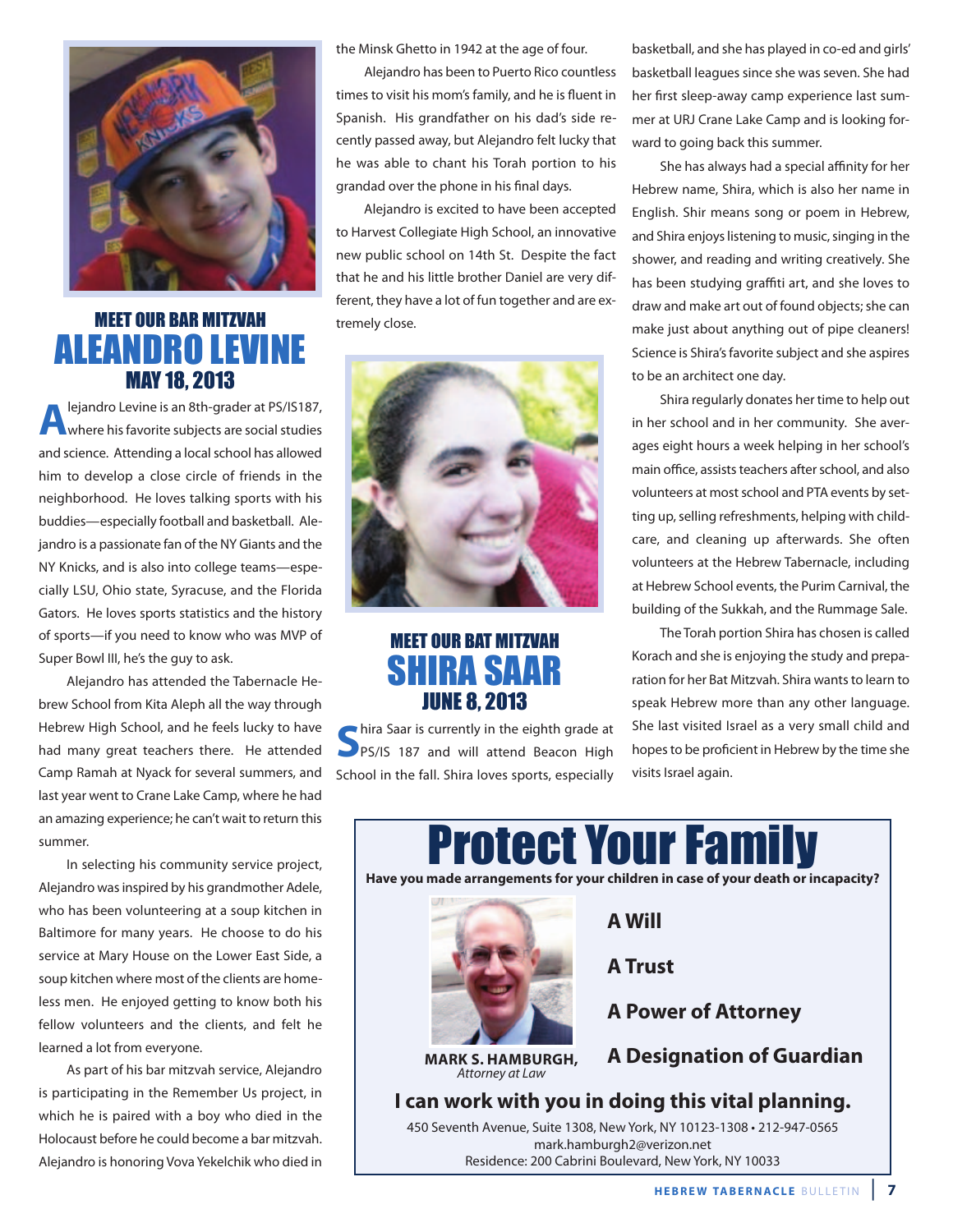

## MEET OUR BAR MITZVAH ALEANDRO LEVINE MAY 18, 2013

**A**lejandro Levine is an 8th-grader at PS/IS187, where his favorite subjects are social studies and science. Attending a local school has allowed him to develop a close circle of friends in the neighborhood. He loves talking sports with his buddies—especially football and basketball. Alejandro is a passionate fan of the NY Giants and the NY Knicks, and is also into college teams—especially LSU, Ohio state, Syracuse, and the Florida Gators. He loves sports statistics and the history of sports—if you need to know who was MVP of Super Bowl III, he's the guy to ask.

Alejandro has attended the Tabernacle Hebrew School from Kita Aleph all the way through Hebrew High School, and he feels lucky to have had many great teachers there. He attended Camp Ramah at Nyack for several summers, and last year went to Crane Lake Camp, where he had an amazing experience; he can't wait to return this summer.

In selecting his community service project, Alejandro was inspired by his grandmother Adele, who has been volunteering at a soup kitchen in Baltimore for many years. He choose to do his service at Mary House on the Lower East Side, a soup kitchen where most of the clients are homeless men. He enjoyed getting to know both his fellow volunteers and the clients, and felt he learned a lot from everyone.

As part of his bar mitzvah service, Alejandro is participating in the Remember Us project, in which he is paired with a boy who died in the Holocaust before he could become a bar mitzvah. Alejandro is honoring Vova Yekelchik who died in the Minsk Ghetto in 1942 at the age of four.

Alejandro has been to Puerto Rico countless times to visit his mom's family, and he is fluent in Spanish. His grandfather on his dad's side recently passed away, but Alejandro felt lucky that he was able to chant his Torah portion to his grandad over the phone in his final days.

Alejandro is excited to have been accepted to Harvest Collegiate High School, an innovative new public school on 14th St. Despite the fact that he and his little brother Daniel are very different, they have a lot of fun together and are extremely close.



## MEET OUR BAT MITZVAH SHIRA SAAR JUNE 8, 2013

**S**hira Saar is currently in the eighth grade at **S**<br>PPS/IS 187 and will attend Beacon High School in the fall. Shira loves sports, especially basketball, and she has played in co-ed and girls' basketball leagues since she was seven. She had her first sleep-away camp experience last summer at URJ Crane Lake Camp and is looking forward to going back this summer.

She has always had a special affinity for her Hebrew name, Shira, which is also her name in English. Shir means song or poem in Hebrew, and Shira enjoys listening to music, singing in the shower, and reading and writing creatively. She has been studying graffiti art, and she loves to draw and make art out of found objects; she can make just about anything out of pipe cleaners! Science is Shira's favorite subject and she aspires to be an architect one day.

Shira regularly donates her time to help out in her school and in her community. She averages eight hours a week helping in her school's main office, assists teachers after school, and also volunteers at most school and PTA events by setting up, selling refreshments, helping with childcare, and cleaning up afterwards. She often volunteers at the Hebrew Tabernacle, including at Hebrew School events, the Purim Carnival, the building of the Sukkah, and the Rummage Sale.

The Torah portion Shira has chosen is called Korach and she is enjoying the study and preparation for her Bat Mitzvah. Shira wants to learn to speak Hebrew more than any other language. She last visited Israel as a very small child and hopes to be proficient in Hebrew by the time she visits Israel again.

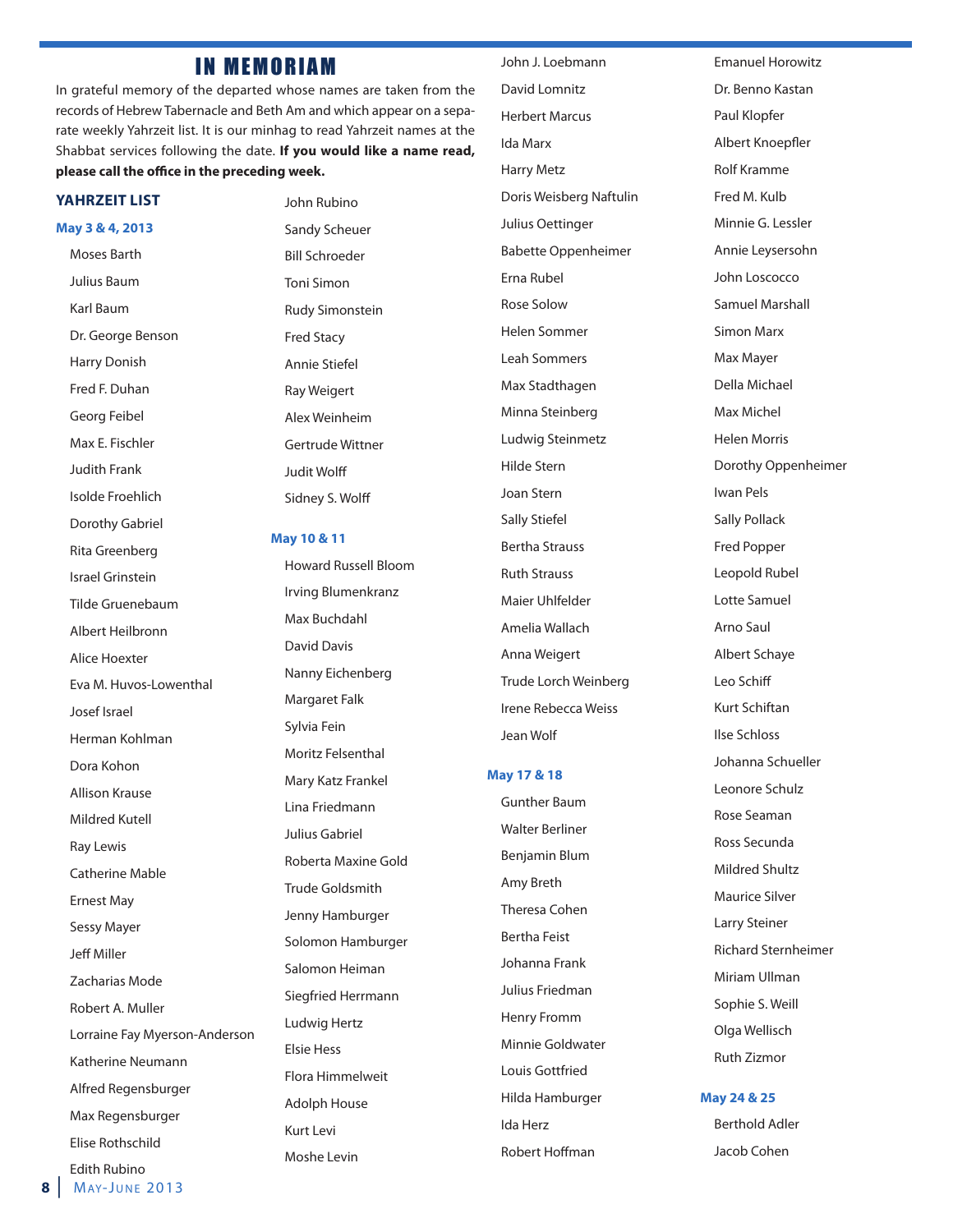### **IN MEMORIAM**

In grateful memory of the departed whose names are taken from the records of Hebrew Tabernacle and Beth Am and which appear on a separate weekly Yahrzeit list. It is our minhag to read Yahrzeit names at the Shabbat services following the date. **If you would like a name read,** please call the office in the preceding week.

#### **YAHRZEIT LIST**

#### **May 3 & 4, 2013**

Moses Barth Julius Baum Karl Baum Dr. George Benson Harry Donish Fred F. Duhan Georg Feibel Max E. Fischler Judith Frank Isolde Froehlich Dorothy Gabriel Rita Greenberg Israel Grinstein Tilde Gruenebaum Albert Heilbronn Alice Hoexter Eva M. Huvos-Lowenthal Josef Israel Herman Kohlman Dora Kohon Allison Krause Mildred Kutell Ray Lewis Catherine Mable Ernest May Sessy Mayer Jeff Miller Zacharias Mode Robert A. Muller Lorraine Fay Myerson-Anderson Katherine Neumann Alfred Regensburger Max Regensburger Elise Rothschild Edith Rubino

John Rubino Sandy Scheuer Bill Schroeder Toni Simon Rudy Simonstein Fred Stacy Annie Stiefel Ray Weigert Alex Weinheim Gertrude Wittner **Judit Wolff** Sidney S. Wolff

#### **May 10 & 11**

Howard Russell Bloom Irving Blumenkranz Max Buchdahl David Davis Nanny Eichenberg Margaret Falk Sylvia Fein Moritz Felsenthal Mary Katz Frankel Lina Friedmann Julius Gabriel Roberta Maxine Gold Trude Goldsmith Jenny Hamburger Solomon Hamburger Salomon Heiman Siegfried Herrmann Ludwig Hertz Elsie Hess Flora Himmelweit Adolph House Kurt Levi Moshe Levin

John J. Loebmann David Lomnitz Herbert Marcus Ida Marx Harry Metz Doris Weisberg Naftulin Julius Oettinger Babette Oppenheimer Erna Rubel Rose Solow Helen Sommer Leah Sommers Max Stadthagen Minna Steinberg Ludwig Steinmetz Hilde Stern Joan Stern Sally Stiefel Bertha Strauss Ruth Strauss Maier Uhlfelder Amelia Wallach Anna Weigert Trude Lorch Weinberg Irene Rebecca Weiss Jean Wolf

#### **May 17 & 18**

Gunther Baum Walter Berliner Benjamin Blum Amy Breth Theresa Cohen Bertha Feist Johanna Frank Julius Friedman Henry Fromm Minnie Goldwater Louis Gottfried Hilda Hamburger Ida Herz Robert Hoffman

Emanuel Horowitz Dr. Benno Kastan Paul Klopfer Albert Knoepfler Rolf Kramme Fred M. Kulb Minnie G. Lessler Annie Leysersohn John Loscocco Samuel Marshall Simon Marx Max Mayer Della Michael Max Michel Helen Morris Dorothy Oppenheimer Iwan Pels Sally Pollack Fred Popper Leopold Rubel Lotte Samuel Arno Saul Albert Schaye Leo Schiff Kurt Schiftan Ilse Schloss Johanna Schueller Leonore Schulz Rose Seaman Ross Secunda Mildred Shultz Maurice Silver Larry Steiner Richard Sternheimer Miriam Ullman Sophie S. Weill Olga Wellisch Ruth Zizmor

#### **May 24 & 25**

Berthold Adler Jacob Cohen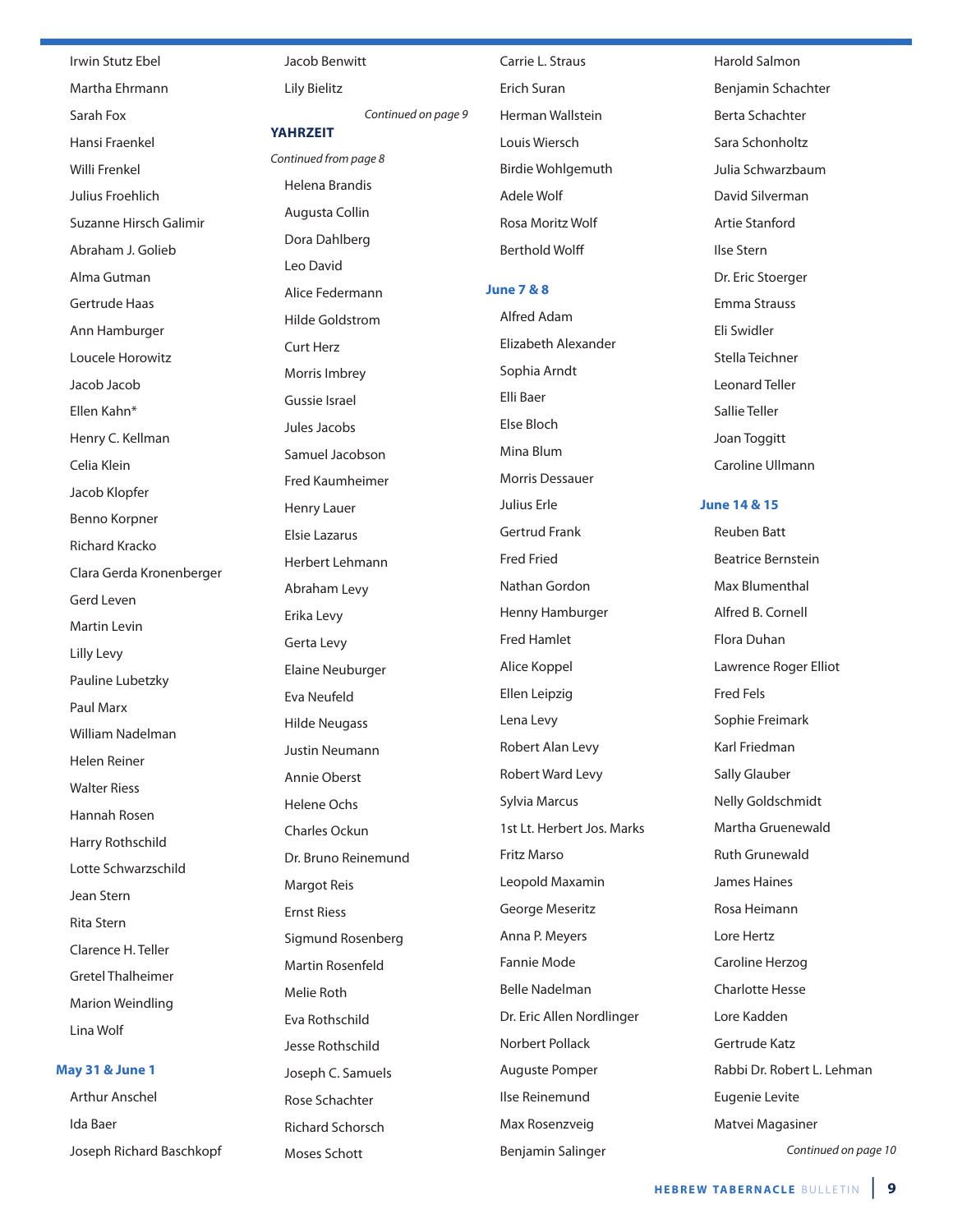Irwin Stutz Ebel Martha Ehrmann Sarah Fox Hansi Fraenkel Willi Frenkel Julius Froehlich Suzanne Hirsch Galimir Abraham J. Golieb Alma Gutman Gertrude Haas Ann Hamburger Loucele Horowitz Jacob Jacob Ellen Kahn\* Henry C. Kellman Celia Klein Jacob Klopfer Benno Korpner Richard Kracko Clara Gerda Kronenberger Gerd Leven Martin Levin Lilly Levy Pauline Lubetzky Paul Marx William Nadelman Helen Reiner Walter Riess Hannah Rosen Harry Rothschild Lotte Schwarzschild Jean Stern Rita Stern Clarence H. Teller Gretel Thalheimer Marion Weindling Lina Wolf

#### **May 31 & June 1**

Arthur Anschel Ida Baer Joseph Richard Baschkopf Jacob Benwitt

Continued on page 9

Lily Bielitz

#### **YAHRZEIT**

Continued from page 8 Helena Brandis Augusta Collin Dora Dahlberg Leo David Alice Federmann Hilde Goldstrom Curt Herz Morris Imbrey Gussie Israel Jules Jacobs Samuel Jacobson Fred Kaumheimer Henry Lauer Elsie Lazarus Herbert Lehmann Abraham Levy Erika Levy Gerta Levy Elaine Neuburger Eva Neufeld Hilde Neugass Justin Neumann Annie Oberst Helene Ochs Charles Ockun Dr. Bruno Reinemund Margot Reis Ernst Riess Sigmund Rosenberg Martin Rosenfeld Melie Roth Eva Rothschild Jesse Rothschild Joseph C. Samuels Rose Schachter Richard Schorsch Moses Schott

Carrie L. Straus Erich Suran Herman Wallstein Louis Wiersch Birdie Wohlgemuth Adele Wolf Rosa Moritz Wolf **Berthold Wolff** 

#### **June 7 & 8**

Alfred Adam Elizabeth Alexander Sophia Arndt Elli Baer Else Bloch Mina Blum Morris Dessauer Julius Erle Gertrud Frank Fred Fried Nathan Gordon Henny Hamburger Fred Hamlet Alice Koppel Ellen Leipzig Lena Levy Robert Alan Levy Robert Ward Levy Sylvia Marcus 1st Lt. Herbert Jos. Marks Fritz Marso Leopold Maxamin George Meseritz Anna P. Meyers Fannie Mode Belle Nadelman Dr. Eric Allen Nordlinger Norbert Pollack Auguste Pomper Ilse Reinemund Max Rosenzveig Benjamin Salinger

Harold Salmon Benjamin Schachter Berta Schachter Sara Schonholtz Julia Schwarzbaum David Silverman Artie Stanford Ilse Stern Dr. Eric Stoerger Emma Strauss Eli Swidler Stella Teichner Leonard Teller Sallie Teller Joan Toggitt

**June 14 & 15**

Caroline Ullmann

Reuben Batt Beatrice Bernstein Max Blumenthal Alfred B. Cornell Flora Duhan Lawrence Roger Elliot Fred Fels Sophie Freimark Karl Friedman Sally Glauber Nelly Goldschmidt Martha Gruenewald Ruth Grunewald James Haines Rosa Heimann Lore Hertz Caroline Herzog Charlotte Hesse Lore Kadden Gertrude Katz Rabbi Dr. Robert L. Lehman Eugenie Levite Matvei Magasiner Continued on page 10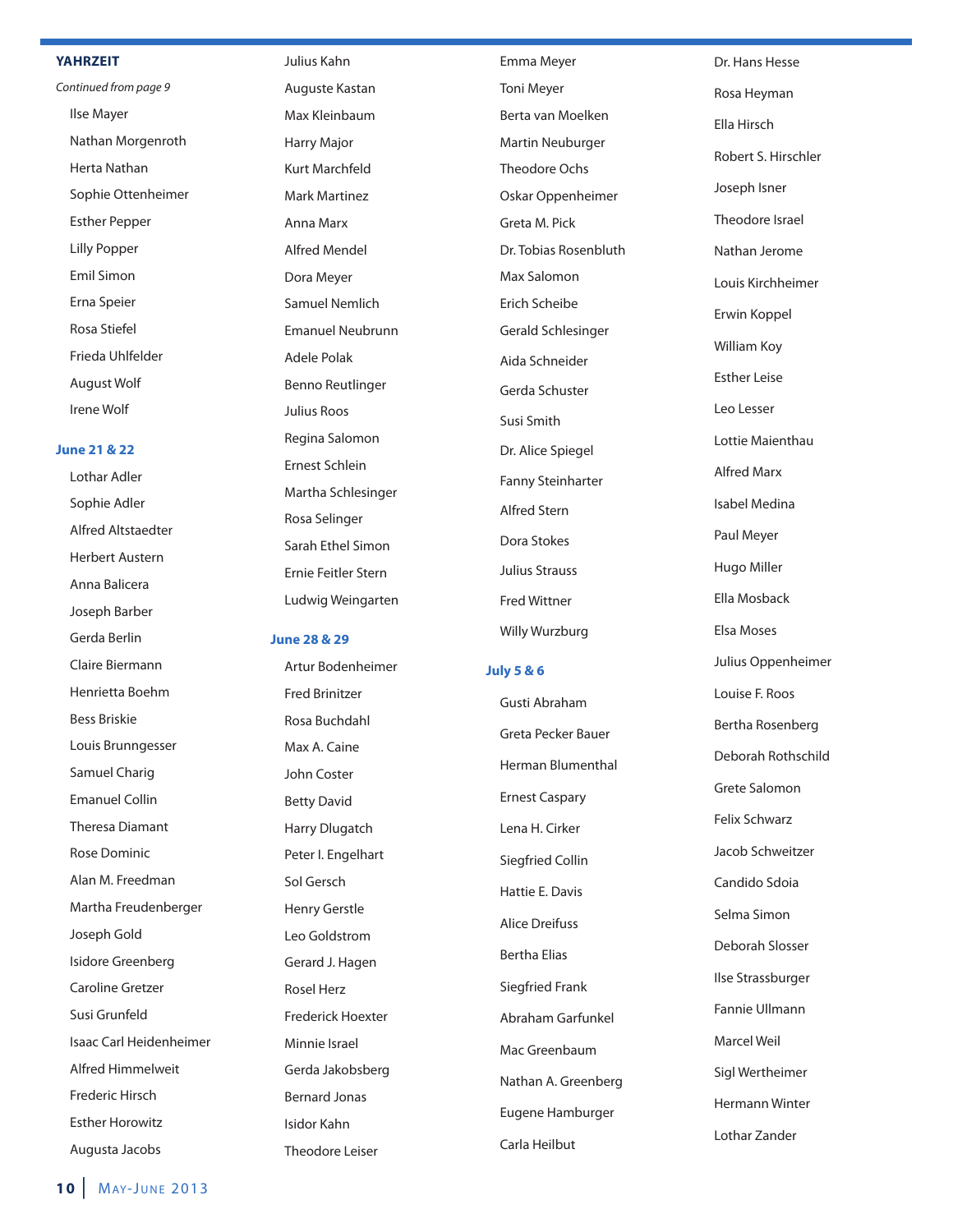#### **YAHRZEIT**

Continued from page 9 Ilse Mayer Nathan Morgenroth Herta Nathan Sophie Ottenheimer Esther Pepper Lilly Popper Emil Simon Erna Speier Rosa Stiefel Frieda Uhlfelder August Wolf Irene Wolf

#### **June 21 & 22**

Lothar Adler Sophie Adler Alfred Altstaedter Herbert Austern Anna Balicera Joseph Barber Gerda Berlin Claire Biermann Henrietta Boehm Bess Briskie Louis Brunngesser Samuel Charig Emanuel Collin Theresa Diamant Rose Dominic Alan M. Freedman Martha Freudenberge r Joseph Gold Isidore Greenberg Caroline Gretzer Susi Grunfeld Isaac Carl Heidenheimer Alfred Himmelweit Frederic Hirsch Esther Horowitz Augusta Jacobs

Julius Kahn Auguste Kastan Max Kleinbaum Harry Major Kurt Marchfeld Mark Martinez Anna Marx Alfred Mendel Dora Meyer Samuel Nemlich Emanuel Neubrunn Adele Polak Benno Reutlinger Julius Roos Regina Salomon Ernest Schlein Martha Schlesinger Rosa Selinger Sarah Ethel Simon Ernie Feitler Stern Ludwig Weingarten

#### **June 28 & 29**

Artur Bodenheimer Fred Brinitzer Rosa Buchdahl Max A. Caine John Coster Betty David Harry Dlugatch Peter I. Engelhart Sol Gersch Henry Gerstle Leo Goldstrom Gerard J. Hagen Rosel Herz Frederick Hoexter Minnie Israel Gerda Jakobsberg Bernard Jonas Isidor Kahn Theodore Leiser

Emma Meyer Toni Meyer Berta van Moelken Martin Neuburger Theodore Ochs Oskar Oppenheimer Greta M. Pick Dr. Tobias Rosenbluth Max Salomon Erich Scheibe Gerald Schlesinger Aida Schneider Gerda Schuster Susi Smith Dr. Alice Spiegel Fanny Steinharter Alfred Stern Dora Stokes Julius Strauss Fred Wittner Willy Wurzburg

#### **July 5 & 6**

Gusti Abraham Greta Pecker Bauer Herman Blumenthal Ernest Caspary Lena H. Cirker Siegfried Collin Hattie E. Davis Alice Dreifuss Bertha Elias Siegfried Frank Abraham Garfunkel Mac Greenbaum Nathan A. Greenberg Eugene Hamburger Carla Heilbut

Dr. Hans Hesse Rosa Heyman Ella Hirsch Robert S. Hirschler Joseph Isner Theodore Israel Nathan Jerome Louis Kirchheimer Erwin Koppel William Koy Esther Leise Leo Lesser Lottie Maienthau Alfred Marx Isabel Medina Paul Meyer Hugo Miller Ella Mosback Elsa Moses Julius Oppenheimer Louise F. Roos Bertha Rosenberg Deborah Rothschild Grete Salomon Felix Schwarz Jacob Schweitzer Candido Sdoia Selma Simon Deborah Slosser Ilse Strassburger Fannie Ullmann Marcel Weil Sigl Wertheimer Hermann Winter Lothar Zander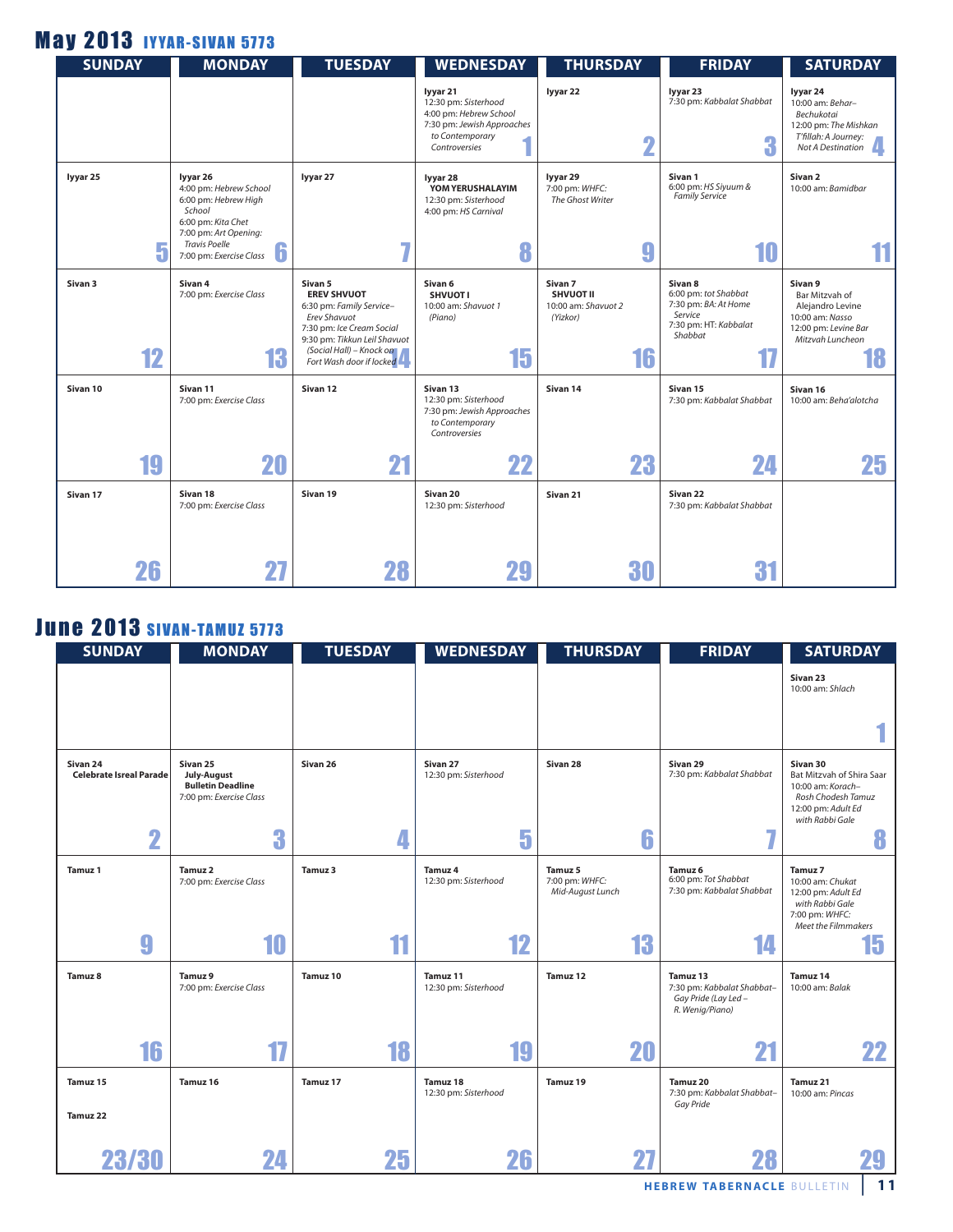## **May 2013 IYYAR-SIVAN 5773**

| <b>SUNDAY</b>      |    | <b>MONDAY</b>                                                                                                       | <b>TUESDAY</b>                                                                                                                                                                                 | <b>WEDNESDAY</b>                                                                                                             | <b>THURSDAY</b>                                                                 | <b>FRIDAY</b>                                                                                          | <b>SATURDAY</b>                                                                                                   |
|--------------------|----|---------------------------------------------------------------------------------------------------------------------|------------------------------------------------------------------------------------------------------------------------------------------------------------------------------------------------|------------------------------------------------------------------------------------------------------------------------------|---------------------------------------------------------------------------------|--------------------------------------------------------------------------------------------------------|-------------------------------------------------------------------------------------------------------------------|
|                    |    |                                                                                                                     |                                                                                                                                                                                                | lyyar 21<br>12:30 pm: Sisterhood<br>4:00 pm: Hebrew School<br>7:30 pm: Jewish Approaches<br>to Contemporary<br>Controversies | lyyar 22<br>n                                                                   | lyyar 23<br>7:30 pm: Kabbalat Shabbat<br>3                                                             | lyyar 24<br>10:00 am: Behar-<br>Bechukotai<br>12:00 pm: The Mishkan<br>T'fillah: A Journey:<br>Not A Destination  |
| lyyar 25           |    | lyyar 26<br>4:00 pm: Hebrew School<br>6:00 pm: Hebrew High<br>School<br>6:00 pm: Kita Chet<br>7:00 pm: Art Opening: | lyyar 27                                                                                                                                                                                       | lyyar 28<br>YOM YERUSHALAYIM<br>12:30 pm: Sisterhood<br>4:00 pm: HS Carnival                                                 | lyyar 29<br>7:00 pm: WHFC:<br>The Ghost Writer                                  | Sivan 1<br>6:00 pm: HS Siyuum &<br><b>Family Service</b>                                               | Sivan <sub>2</sub><br>10:00 am: Bamidbar                                                                          |
|                    | 5  | <b>Travis Poelle</b><br>b<br>7:00 pm: Exercise Class                                                                | 5                                                                                                                                                                                              | 8                                                                                                                            | g                                                                               | 10                                                                                                     |                                                                                                                   |
| Sivan <sub>3</sub> | 12 | Sivan 4<br>7:00 pm: Exercise Class<br>13                                                                            | Sivan 5<br><b>EREV SHVUOT</b><br>6:30 pm: Family Service-<br>Erev Shavuot<br>7:30 pm: Ice Cream Social<br>9:30 pm: Tikkun Leil Shavuot<br>(Social Hall) – Knock on<br>Fort Wash door if locked | Sivan 6<br><b>SHVUOTI</b><br>10:00 am: Shavuot 1<br>(Piano)<br>15                                                            | Sivan <sub>7</sub><br><b>SHVUOT II</b><br>10:00 am: Shavuot 2<br>(Yizkor)<br>16 | Sivan 8<br>6:00 pm: tot Shabbat<br>7:30 pm: BA: At Home<br>Service<br>7:30 pm: HT: Kabbalat<br>Shabbat | Sivan 9<br>Bar Mitzvah of<br>Alejandro Levine<br>10:00 am: Nasso<br>12:00 pm: Levine Bar<br>Mitzvah Luncheon<br>Ħ |
| Sivan 10           |    | Sivan 11<br>7:00 pm: Exercise Class                                                                                 | Sivan 12                                                                                                                                                                                       | Sivan 13<br>12:30 pm: Sisterhood<br>7:30 pm: Jewish Approaches<br>to Contemporary<br>Controversies                           | Sivan 14                                                                        | Sivan 15<br>7:30 pm: Kabbalat Shabbat                                                                  | Sivan 16<br>10:00 am: Beha'alotcha                                                                                |
|                    | 19 | 20                                                                                                                  | 21                                                                                                                                                                                             | 22                                                                                                                           | 23                                                                              | 24                                                                                                     | 25                                                                                                                |
| Sivan 17           |    | Sivan 18<br>7:00 pm: Exercise Class                                                                                 | Sivan 19                                                                                                                                                                                       | Sivan 20<br>12:30 pm: Sisterhood                                                                                             | Sivan 21                                                                        | Sivan <sub>22</sub><br>7:30 pm: Kabbalat Shabbat                                                       |                                                                                                                   |
|                    | 26 | 27                                                                                                                  | 28                                                                                                                                                                                             |                                                                                                                              | 30                                                                              | 31                                                                                                     |                                                                                                                   |

## **June 2013 SIVAN-TAMUZ 5773**

| <b>SUNDAY</b>                       | <b>MONDAY</b>                                                                  | <b>TUESDAY</b> | <b>WEDNESDAY</b>                 | <b>THURSDAY</b>                               | <b>FRIDAY</b>                                                                     | <b>SATURDAY</b>                                                                                                           |
|-------------------------------------|--------------------------------------------------------------------------------|----------------|----------------------------------|-----------------------------------------------|-----------------------------------------------------------------------------------|---------------------------------------------------------------------------------------------------------------------------|
|                                     |                                                                                |                |                                  |                                               |                                                                                   | Sivan 23<br>10:00 am: Shlach                                                                                              |
|                                     |                                                                                |                |                                  |                                               |                                                                                   |                                                                                                                           |
| Sivan 24<br>Celebrate Isreal Parade | Sivan 25<br>July-August<br><b>Bulletin Deadline</b><br>7:00 pm: Exercise Class | Sivan 26       | Sivan 27<br>12:30 pm: Sisterhood | Sivan 28                                      | Sivan 29<br>7:30 pm: Kabbalat Shabbat                                             | Sivan 30<br>Bat Mitzvah of Shira Saar<br>10:00 am: Korach-<br>Rosh Chodesh Tamuz<br>12:00 pm: Adult Ed<br>with Rabbi Gale |
| $\overline{\mathbf{2}}$             | 3                                                                              |                | 5                                | 6                                             | ۰.                                                                                | 8                                                                                                                         |
| <b>Tamuz 1</b>                      | Tamuz 2<br>7:00 pm: Exercise Class                                             | Tamuz 3        | Tamuz 4<br>12:30 pm: Sisterhood  | Tamuz 5<br>7:00 pm: WHFC:<br>Mid-August Lunch | Tamuz <sub>6</sub><br>6:00 pm: Tot Shabbat<br>7:30 pm: Kabbalat Shabbat           | Tamuz 7<br>10:00 am: Chukat<br>12:00 pm: Adult Ed<br>with Rabbi Gale<br>7:00 pm: WHFC:<br>Meet the Filmmakers             |
| 9                                   | 10                                                                             | 11             | 12                               | 13                                            | 14                                                                                | 15                                                                                                                        |
| Tamuz 8                             | Tamuz 9<br>7:00 pm: Exercise Class                                             | Tamuz 10       | Tamuz 11<br>12:30 pm: Sisterhood | Tamuz 12                                      | Tamuz 13<br>7:30 pm: Kabbalat Shabbat-<br>Gay Pride (Lay Led -<br>R. Wenig/Piano) | Tamuz 14<br>10:00 am: Balak                                                                                               |
| 16                                  | 17                                                                             | 18             | 19                               | 20                                            | 21                                                                                | 22                                                                                                                        |
| Tamuz 15                            | Tamuz 16                                                                       | Tamuz 17       | Tamuz 18<br>12:30 pm: Sisterhood | Tamuz 19                                      | Tamuz 20<br>7:30 pm: Kabbalat Shabbat-<br>Gay Pride                               | Tamuz 21<br>10:00 am: Pincas                                                                                              |
| Tamuz 22                            |                                                                                |                |                                  |                                               |                                                                                   |                                                                                                                           |
| 23/30                               | 24                                                                             | 25             | 26                               |                                               | 28                                                                                |                                                                                                                           |